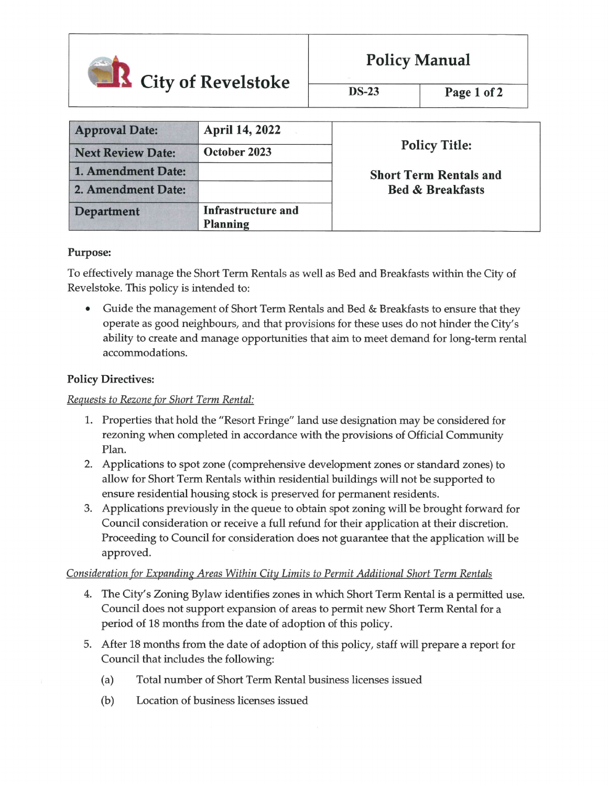

|  | <b>Policy Manual</b> |
|--|----------------------|
|--|----------------------|

DS-23 Page 1 of 2

| <b>Approval Date:</b>    | <b>April 14, 2022</b>                 |                               |
|--------------------------|---------------------------------------|-------------------------------|
| <b>Next Review Date:</b> | October 2023                          | <b>Policy Title:</b>          |
| 1. Amendment Date:       |                                       | <b>Short Term Rentals and</b> |
| 2. Amendment Date:       |                                       | <b>Bed &amp; Breakfasts</b>   |
| <b>Department</b>        | Infrastructure and<br><b>Planning</b> |                               |

### Purpose:

To effectively manage the Short Term Rentals as well as Bed and Breakfasts within the City of Revelstoke. This policy is intended to:

• Guide the management of Short Term Rentals and Bed & Breakfasts to ensure that they operate as good neighbours/ and that provisions for these uses do not hinder the City's ability to create and manage opportunities that aim to meet demand for long-term rental accommodations.

# Policy Directives:

### Requests to Rezone for Short Term Rental:

- 1. Properties that hold the "Resort Fringe" land use designation may be considered for rezoning when completed in accordance with the provisions of Official Community Plan.
- 2. Applications to spot zone (comprehensive development zones or standard zones) to aUow for Short Term Rentals within residential buildings will not be supported to ensure residential housing stock is preserved for permanent residents.
- 3. Applications previously in the queue to obtain spot zoning will be brought forward for Council consideration or receive a full refund for their application at their discretion. Proceeding to Council for consideration does not guarantee that the application wiU be approved.

## Consideration for Expanding Areas Within City Limits to Permit Additional Short Term Rentals

- 4. The City's Zoning Bylaw identifies zones in which Short Term Rental is a permitted use. Council does not support expansion of areas to permit new Short Term Rental for a period of 18 months from the date of adoption of this policy.
- 5. After 18 months from the date of adoption of this policy, staff will prepare a report for Council that includes the following:
	- (a) Total number of Short Term Rental business licenses issued
	- (b) Location of business licenses issued